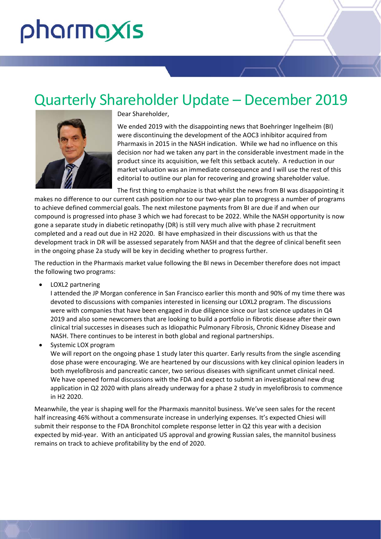# pharmaxis

# Quarterly Shareholder Update – December 2019



Dear Shareholder,

We ended 2019 with the disappointing news that Boehringer Ingelheim (BI) were discontinuing the development of the AOC3 inhibitor acquired from Pharmaxis in 2015 in the NASH indication. While we had no influence on this decision nor had we taken any part in the considerable investment made in the product since its acquisition, we felt this setback acutely. A reduction in our market valuation was an immediate consequence and I will use the rest of this editorial to outline our plan for recovering and growing shareholder value.

The first thing to emphasize is that whilst the news from BI was disappointing it makes no difference to our current cash position nor to our two-year plan to progress a number of programs to achieve defined commercial goals. The next milestone payments from BI are due if and when our compound is progressed into phase 3 which we had forecast to be 2022. While the NASH opportunity is now gone a separate study in diabetic retinopathy (DR) is still very much alive with phase 2 recruitment completed and a read out due in H2 2020. BI have emphasized in their discussions with us that the development track in DR will be assessed separately from NASH and that the degree of clinical benefit seen in the ongoing phase 2a study will be key in deciding whether to progress further.

The reduction in the Pharmaxis market value following the BI news in December therefore does not impact the following two programs:

• LOXL2 partnering

I attended the JP Morgan conference in San Francisco earlier this month and 90% of my time there was devoted to discussions with companies interested in licensing our LOXL2 program. The discussions were with companies that have been engaged in due diligence since our last science updates in Q4 2019 and also some newcomers that are looking to build a portfolio in fibrotic disease after their own clinical trial successes in diseases such as Idiopathic Pulmonary Fibrosis, Chronic Kidney Disease and NASH. There continues to be interest in both global and regional partnerships.

Systemic LOX program

We will report on the ongoing phase 1 study later this quarter. Early results from the single ascending dose phase were encouraging. We are heartened by our discussions with key clinical opinion leaders in both myelofibrosis and pancreatic cancer, two serious diseases with significant unmet clinical need. We have opened formal discussions with the FDA and expect to submit an investigational new drug application in Q2 2020 with plans already underway for a phase 2 study in myelofibrosis to commence in H2 2020.

Meanwhile, the year is shaping well for the Pharmaxis mannitol business. We've seen sales for the recent half increasing 46% without a commensurate increase in underlying expenses. It's expected Chiesi will submit their response to the FDA Bronchitol complete response letter in Q2 this year with a decision expected by mid‐year. With an anticipated US approval and growing Russian sales, the mannitol business remains on track to achieve profitability by the end of 2020.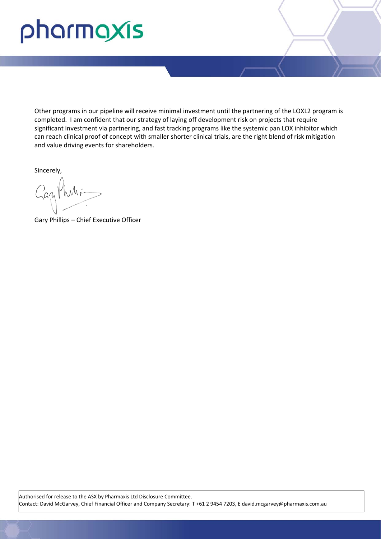# pharmaxis

Other programs in our pipeline will receive minimal investment until the partnering of the LOXL2 program is completed. I am confident that our strategy of laying off development risk on projects that require significant investment via partnering, and fast tracking programs like the systemic pan LOX inhibitor which can reach clinical proof of concept with smaller shorter clinical trials, are the right blend of risk mitigation and value driving events for shareholders.

Sincerely,

Gazy Muhi-

Gary Phillips – Chief Executive Officer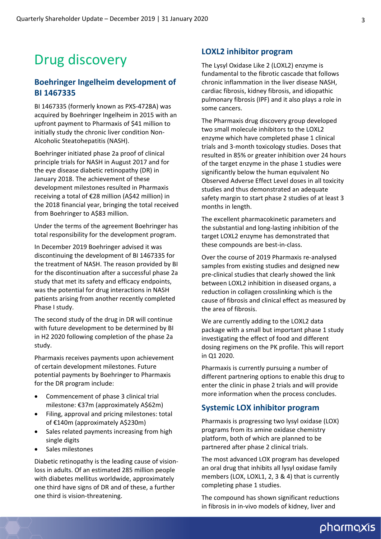# Drug discovery

#### **Boehringer Ingelheim development of BI 1467335**

BI 1467335 (formerly known as PXS‐4728A) was acquired by Boehringer Ingelheim in 2015 with an upfront payment to Pharmaxis of \$41 million to initially study the chronic liver condition Non‐ Alcoholic Steatohepatitis (NASH).

Boehringer initiated phase 2a proof of clinical principle trials for NASH in August 2017 and for the eye disease diabetic retinopathy (DR) in January 2018. The achievement of these development milestones resulted in Pharmaxis receiving a total of €28 million (A\$42 million) in the 2018 financial year, bringing the total received from Boehringer to A\$83 million.

Under the terms of the agreement Boehringer has total responsibility for the development program.

In December 2019 Boehringer advised it was discontinuing the development of BI 1467335 for the treatment of NASH. The reason provided by BI for the discontinuation after a successful phase 2a study that met its safety and efficacy endpoints, was the potential for drug interactions in NASH patients arising from another recently completed Phase I study.

The second study of the drug in DR will continue with future development to be determined by BI in H2 2020 following completion of the phase 2a study.

Pharmaxis receives payments upon achievement of certain development milestones. Future potential payments by Boehringer to Pharmaxis for the DR program include:

- Commencement of phase 3 clinical trial milestone: €37m (approximately A\$62m)
- Filing, approval and pricing milestones: total of €140m (approximately A\$230m)
- Sales related payments increasing from high single digits
- Sales milestones

Diabetic retinopathy is the leading cause of vision‐ loss in adults. Of an estimated 285 million people with diabetes mellitus worldwide, approximately one third have signs of DR and of these, a further one third is vision‐threatening.

#### **LOXL2 inhibitor program**

The Lysyl Oxidase Like 2 (LOXL2) enzyme is fundamental to the fibrotic cascade that follows chronic inflammation in the liver disease NASH, cardiac fibrosis, kidney fibrosis, and idiopathic pulmonary fibrosis (IPF) and it also plays a role in some cancers.

The Pharmaxis drug discovery group developed two small molecule inhibitors to the LOXL2 enzyme which have completed phase 1 clinical trials and 3‐month toxicology studies. Doses that resulted in 85% or greater inhibition over 24 hours of the target enzyme in the phase 1 studies were significantly below the human equivalent No Observed Adverse Effect Level doses in all toxicity studies and thus demonstrated an adequate safety margin to start phase 2 studies of at least 3 months in length.

The excellent pharmacokinetic parameters and the substantial and long‐lasting inhibition of the target LOXL2 enzyme has demonstrated that these compounds are best‐in‐class.

Over the course of 2019 Pharmaxis re‐analysed samples from existing studies and designed new pre‐clinical studies that clearly showed the link between LOXL2 inhibition in diseased organs, a reduction in collagen crosslinking which is the cause of fibrosis and clinical effect as measured by the area of fibrosis.

We are currently adding to the LOXL2 data package with a small but important phase 1 study investigating the effect of food and different dosing regimens on the PK profile. This will report in Q1 2020.

Pharmaxis is currently pursuing a number of different partnering options to enable this drug to enter the clinic in phase 2 trials and will provide more information when the process concludes.

#### **Systemic LOX inhibitor program**

Pharmaxis is progressing two lysyl oxidase (LOX) programs from its amine oxidase chemistry platform, both of which are planned to be partnered after phase 2 clinical trials.

The most advanced LOX program has developed an oral drug that inhibits all lysyl oxidase family members (LOX, LOXL1, 2, 3 & 4) that is currently completing phase 1 studies.

The compound has shown significant reductions in fibrosis in in‐vivo models of kidney, liver and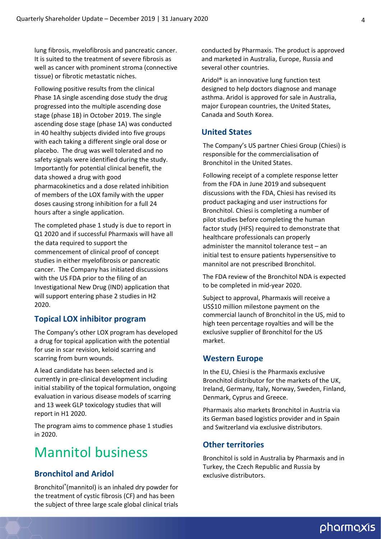lung fibrosis, myelofibrosis and pancreatic cancer. It is suited to the treatment of severe fibrosis as well as cancer with prominent stroma (connective tissue) or fibrotic metastatic niches.

Following positive results from the clinical Phase 1A single ascending dose study the drug progressed into the multiple ascending dose stage (phase 1B) in October 2019. The single ascending dose stage (phase 1A) was conducted in 40 healthy subjects divided into five groups with each taking a different single oral dose or placebo. The drug was well tolerated and no safety signals were identified during the study. Importantly for potential clinical benefit, the data showed a drug with good pharmacokinetics and a dose related inhibition of members of the LOX family with the upper doses causing strong inhibition for a full 24 hours after a single application.

The completed phase 1 study is due to report in Q1 2020 and if successful Pharmaxis will have all the data required to support the commencement of clinical proof of concept studies in either myelofibrosis or pancreatic cancer. The Company has initiated discussions with the US FDA prior to the filing of an Investigational New Drug (IND) application that will support entering phase 2 studies in H2 2020.

#### **Topical LOX inhibitor program**

The Company's other LOX program has developed a drug for topical application with the potential for use in scar revision, keloid scarring and scarring from burn wounds.

A lead candidate has been selected and is currently in pre‐clinical development including initial stability of the topical formulation, ongoing evaluation in various disease models of scarring and 13 week GLP toxicology studies that will report in H1 2020.

The program aims to commence phase 1 studies in 2020.

## Mannitol business

#### **Bronchitol and Aridol**

Bronchitol® (mannitol) is an inhaled dry powder for the treatment of cystic fibrosis (CF) and has been the subject of three large scale global clinical trials

conducted by Pharmaxis. The product is approved and marketed in Australia, Europe, Russia and several other countries.

Aridol® is an innovative lung function test designed to help doctors diagnose and manage asthma. Aridol is approved for sale in Australia, major European countries, the United States, Canada and South Korea.

#### **United States**

The Company's US partner Chiesi Group (Chiesi) is responsible for the commercialisation of Bronchitol in the United States.

Following receipt of a complete response letter from the FDA in June 2019 and subsequent discussions with the FDA, Chiesi has revised its product packaging and user instructions for Bronchitol. Chiesi is completing a number of pilot studies before completing the human factor study (HFS) required to demonstrate that healthcare professionals can properly administer the mannitol tolerance test – an initial test to ensure patients hypersensitive to mannitol are not prescribed Bronchitol.

The FDA review of the Bronchitol NDA is expected to be completed in mid‐year 2020.

Subject to approval, Pharmaxis will receive a US\$10 million milestone payment on the commercial launch of Bronchitol in the US, mid to high teen percentage royalties and will be the exclusive supplier of Bronchitol for the US market.

#### **Western Europe**

In the EU, Chiesi is the Pharmaxis exclusive Bronchitol distributor for the markets of the UK, Ireland, Germany, Italy, Norway, Sweden, Finland, Denmark, Cyprus and Greece.

Pharmaxis also markets Bronchitol in Austria via its German based logistics provider and in Spain and Switzerland via exclusive distributors.

#### **Other territories**

Bronchitol is sold in Australia by Pharmaxis and in Turkey, the Czech Republic and Russia by exclusive distributors.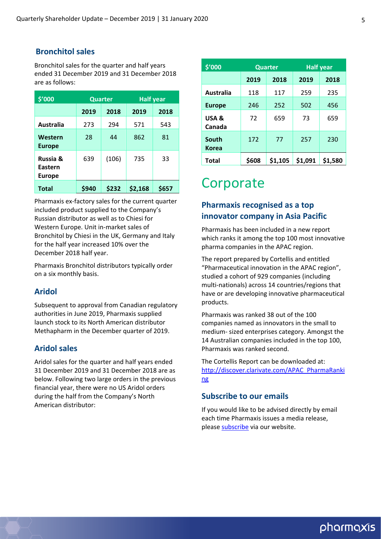#### **Bronchitol sales**

Bronchitol sales for the quarter and half years ended 31 December 2019 and 31 December 2018 are as follows:

| \$'000                                          | <b>Quarter</b> |       | <b>Half year</b> |       |  |
|-------------------------------------------------|----------------|-------|------------------|-------|--|
|                                                 | 2019<br>2018   |       | 2019             | 2018  |  |
| Australia                                       | 273            | 294   | 571              | 543   |  |
| Western<br><b>Europe</b>                        | 28             | 44    | 862              | 81    |  |
| <b>Russia &amp;</b><br>Eastern<br><b>Europe</b> | 639            | (106) | 735              | 33    |  |
| <b>Total</b>                                    | \$940          | \$232 | \$2,168          | \$657 |  |

Pharmaxis ex‐factory sales for the current quarter included product supplied to the Company's Russian distributor as well as to Chiesi for Western Europe. Unit in‐market sales of Bronchitol by Chiesi in the UK, Germany and Italy for the half year increased 10% over the December 2018 half year.

Pharmaxis Bronchitol distributors typically order on a six monthly basis.

#### **Aridol**

Subsequent to approval from Canadian regulatory authorities in June 2019, Pharmaxis supplied launch stock to its North American distributor Methapharm in the December quarter of 2019.

#### **Aridol sales**

Aridol sales for the quarter and half years ended 31 December 2019 and 31 December 2018 are as below. Following two large orders in the previous financial year, there were no US Aridol orders during the half from the Company's North American distributor:

| \$'000                |       | <b>Quarter</b> | <b>Half year</b> |         |  |
|-----------------------|-------|----------------|------------------|---------|--|
|                       | 2019  | 2018           |                  | 2018    |  |
| Australia             | 118   | 117            | 259              | 235     |  |
| <b>Europe</b>         | 246   | 252            | 502              | 456     |  |
| USA &<br>Canada       | 72    | 659            | 73               | 659     |  |
| South<br><b>Korea</b> | 172   | 77             | 257              | 230     |  |
| Total                 | \$608 | \$1,105        | \$1,091          | \$1,580 |  |

## **Corporate**

#### **Pharmaxis recognised as a top innovator company in Asia Pacific**

Pharmaxis has been included in a new report which ranks it among the top 100 most innovative pharma companies in the APAC region.

The report prepared by Cortellis and entitled "Pharmaceutical innovation in the APAC region", studied a cohort of 929 companies (including multi‐nationals) across 14 countries/regions that have or are developing innovative pharmaceutical products.

Pharmaxis was ranked 38 out of the 100 companies named as innovators in the small to medium‐ sized enterprises category. Amongst the 14 Australian companies included in the top 100, Pharmaxis was ranked second.

The Cortellis Report can be downloaded at: [http://discover.clarivate.com/APAC\\_PharmaRanki](http://discover.clarivate.com/APAC_PharmaRanking) ng

#### **Subscribe to our emails**

If you would like to be advised directly by email each time Pharmaxis issues a media release, please [subscribe](http://www.pharmaxis.com.au/investor-centre/subscribe/) via our website.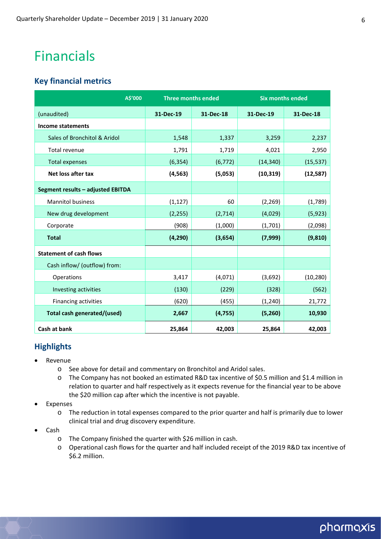## Financials

#### **Key financial metrics**

| A\$'000                           | <b>Three months ended</b> |           | <b>Six months ended</b> |           |
|-----------------------------------|---------------------------|-----------|-------------------------|-----------|
| (unaudited)                       | 31-Dec-19                 | 31-Dec-18 | 31-Dec-19               | 31-Dec-18 |
| Income statements                 |                           |           |                         |           |
| Sales of Bronchitol & Aridol      | 1,548                     | 1,337     | 3,259                   | 2,237     |
| Total revenue                     | 1,791                     | 1,719     | 4,021                   | 2,950     |
| <b>Total expenses</b>             | (6, 354)                  | (6, 772)  | (14, 340)               | (15, 537) |
| Net loss after tax                | (4, 563)                  | (5,053)   | (10, 319)               | (12,587)  |
| Segment results - adjusted EBITDA |                           |           |                         |           |
| <b>Mannitol business</b>          | (1, 127)                  | 60        | (2, 269)                | (1,789)   |
| New drug development              | (2, 255)                  | (2,714)   | (4,029)                 | (5, 923)  |
| Corporate                         | (908)                     | (1,000)   | (1,701)                 | (2,098)   |
| <b>Total</b>                      | (4, 290)                  | (3,654)   | (7,999)                 | (9, 810)  |
| <b>Statement of cash flows</b>    |                           |           |                         |           |
| Cash inflow/ (outflow) from:      |                           |           |                         |           |
| Operations                        | 3,417                     | (4,071)   | (3,692)                 | (10, 280) |
| Investing activities              | (130)                     | (229)     | (328)                   | (562)     |
| Financing activities              | (620)                     | (455)     | (1, 240)                | 21,772    |
| Total cash generated/(used)       | 2,667                     | (4, 755)  | (5,260)                 | 10,930    |
| Cash at bank                      | 25,864                    | 42,003    | 25,864                  | 42,003    |

#### **Highlights**

- Revenue
	- o See above for detail and commentary on Bronchitol and Aridol sales.
	- o The Company has not booked an estimated R&D tax incentive of \$0.5 million and \$1.4 million in relation to quarter and half respectively as it expects revenue for the financial year to be above the \$20 million cap after which the incentive is not payable.
- Expenses
	- o The reduction in total expenses compared to the prior quarter and half is primarily due to lower clinical trial and drug discovery expenditure.
- Cash
	- o The Company finished the quarter with \$26 million in cash.
	- o Operational cash flows for the quarter and half included receipt of the 2019 R&D tax incentive of \$6.2 million.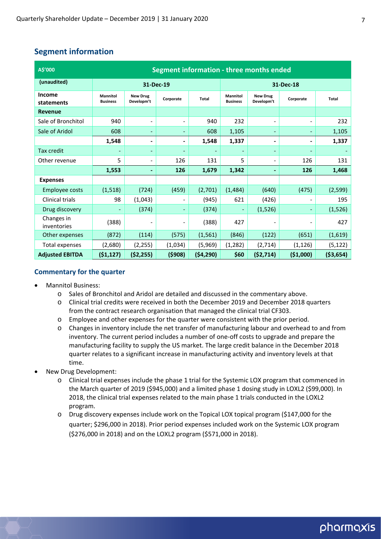#### **Segment information**

| A\$'000                   | Segment information - three months ended |                               |                          |              |                                    |                               |                              |            |
|---------------------------|------------------------------------------|-------------------------------|--------------------------|--------------|------------------------------------|-------------------------------|------------------------------|------------|
| (unaudited)               | 31-Dec-19                                |                               |                          | 31-Dec-18    |                                    |                               |                              |            |
| Income<br>statements      | <b>Mannitol</b><br><b>Business</b>       | <b>New Drug</b><br>Developm't | Corporate                | <b>Total</b> | <b>Mannitol</b><br><b>Business</b> | <b>New Drug</b><br>Developm't | Corporate                    | Total      |
| <b>Revenue</b>            |                                          |                               |                          |              |                                    |                               |                              |            |
| Sale of Bronchitol        | 940                                      | $\overline{\phantom{a}}$      | $\overline{\phantom{a}}$ | 940          | 232                                | $\overline{\phantom{a}}$      | $\overline{\phantom{a}}$     | 232        |
| Sale of Aridol            | 608                                      | ٠                             | $\overline{\phantom{a}}$ | 608          | 1,105                              |                               |                              | 1,105      |
|                           | 1,548                                    |                               | -                        | 1,548        | 1,337                              |                               | $\blacksquare$               | 1,337      |
| Tax credit                | ٠                                        | $\overline{\phantom{m}}$      |                          |              |                                    | $\qquad \qquad \blacksquare$  |                              |            |
| Other revenue             | 5                                        | $\overline{\phantom{a}}$      | 126                      | 131          | 5                                  | $\overline{\phantom{0}}$      | 126                          | 131        |
|                           | 1,553                                    |                               | 126                      | 1,679        | 1,342                              |                               | 126                          | 1,468      |
| <b>Expenses</b>           |                                          |                               |                          |              |                                    |                               |                              |            |
| <b>Employee costs</b>     | (1, 518)                                 | (724)                         | (459)                    | (2,701)      | (1, 484)                           | (640)                         | (475)                        | (2,599)    |
| <b>Clinical trials</b>    | 98                                       | (1,043)                       |                          | (945)        | 621                                | (426)                         |                              | 195        |
| Drug discovery            |                                          | (374)                         | -                        | (374)        |                                    | (1,526)                       | $\qquad \qquad \blacksquare$ | (1,526)    |
| Changes in<br>inventories | (388)                                    |                               |                          | (388)        | 427                                |                               |                              | 427        |
| Other expenses            | (872)                                    | (114)                         | (575)                    | (1, 561)     | (846)                              | (122)                         | (651)                        | (1,619)    |
| Total expenses            | (2,680)                                  | (2, 255)                      | (1,034)                  | (5,969)      | (1, 282)                           | (2,714)                       | (1, 126)                     | (5, 122)   |
| <b>Adjusted EBITDA</b>    | (51, 127)                                | (52, 255)                     | (5908)                   | (54, 290)    | \$60                               | (52, 714)                     | ( \$1,000)                   | ( \$3,654) |

#### **Commentary for the quarter**

- Mannitol Business:
	- o Sales of Bronchitol and Aridol are detailed and discussed in the commentary above.
	- o Clinical trial credits were received in both the December 2019 and December 2018 quarters from the contract research organisation that managed the clinical trial CF303.
	- o Employee and other expenses for the quarter were consistent with the prior period.
	- o Changes in inventory include the net transfer of manufacturing labour and overhead to and from inventory. The current period includes a number of one‐off costs to upgrade and prepare the manufacturing facility to supply the US market. The large credit balance in the December 2018 quarter relates to a significant increase in manufacturing activity and inventory levels at that time.
- New Drug Development:
	- o Clinical trial expenses include the phase 1 trial for the Systemic LOX program that commenced in the March quarter of 2019 (\$945,000) and a limited phase 1 dosing study in LOXL2 (\$99,000). In 2018, the clinical trial expenses related to the main phase 1 trials conducted in the LOXL2 program.
	- o Drug discovery expenses include work on the Topical LOX topical program (\$147,000 for the quarter; \$296,000 in 2018). Prior period expenses included work on the Systemic LOX program (\$276,000 in 2018) and on the LOXL2 program (\$571,000 in 2018).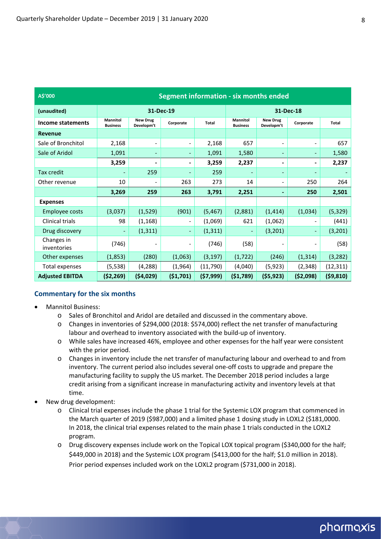| A\$'000                   | Segment information - six months ended                                                              |                               |                          |           |                             |                               |                          |           |
|---------------------------|-----------------------------------------------------------------------------------------------------|-------------------------------|--------------------------|-----------|-----------------------------|-------------------------------|--------------------------|-----------|
| (unaudited)               | 31-Dec-19                                                                                           |                               |                          | 31-Dec-18 |                             |                               |                          |           |
| Income statements         | <b>Mannitol</b><br><b>Business</b>                                                                  | <b>New Drug</b><br>Developm't | Corporate                | Total     | Mannitol<br><b>Business</b> | <b>New Drug</b><br>Developm't | Corporate                | Total     |
| <b>Revenue</b>            |                                                                                                     |                               |                          |           |                             |                               |                          |           |
| Sale of Bronchitol        | 2,168                                                                                               |                               | $\overline{\phantom{a}}$ | 2,168     | 657                         | $\overline{\phantom{0}}$      | $\overline{\phantom{0}}$ | 657       |
| Sale of Aridol            | 1,091                                                                                               | $\qquad \qquad \blacksquare$  | $\overline{\phantom{a}}$ | 1,091     | 1,580                       | -                             | ۰                        | 1,580     |
|                           | 3,259                                                                                               | $\blacksquare$                | $\overline{\phantom{a}}$ | 3,259     | 2,237                       | -                             | ۰                        | 2,237     |
| <b>Tax credit</b>         |                                                                                                     | 259                           |                          | 259       |                             | $\qquad \qquad \blacksquare$  | ٠                        |           |
| Other revenue             | 10                                                                                                  | $\overline{\phantom{a}}$      | 263                      | 273       | 14                          | $\overline{\phantom{0}}$      | 250                      | 264       |
|                           | 3,269                                                                                               | 259                           | 263                      | 3,791     | 2,251                       | $\blacksquare$                | 250                      | 2,501     |
| <b>Expenses</b>           |                                                                                                     |                               |                          |           |                             |                               |                          |           |
| Employee costs            | (3,037)                                                                                             | (1,529)                       | (901)                    | (5, 467)  | (2,881)                     | (1, 414)                      | (1,034)                  | (5, 329)  |
| <b>Clinical trials</b>    | 98                                                                                                  | (1, 168)                      | $\overline{\phantom{a}}$ | (1,069)   | 621                         | (1,062)                       | $\overline{\phantom{0}}$ | (441)     |
| Drug discovery            | -                                                                                                   | (1, 311)                      | $\overline{\phantom{a}}$ | (1, 311)  |                             | (3,201)                       | ٠                        | (3,201)   |
| Changes in<br>inventories | (746)                                                                                               |                               | $\overline{\phantom{a}}$ | (746)     | (58)                        | -                             | $\overline{\phantom{0}}$ | (58)      |
| Other expenses            | (1,853)                                                                                             | (280)                         | (1,063)                  | (3, 197)  | (1, 722)                    | (246)                         | (1, 314)                 | (3, 282)  |
| Total expenses            | (5, 538)                                                                                            | (4,288)                       | (1,964)                  | (11, 790) | (4,040)                     | (5, 923)                      | (2,348)                  | (12, 311) |
| <b>Adjusted EBITDA</b>    | ( \$4,029)<br>(57,999)<br>(55, 923)<br>( \$2,098)<br>(59, 810)<br>(52, 269)<br>(51,701)<br>(51,789) |                               |                          |           |                             |                               |                          |           |

#### **Commentary for the six months**

- Mannitol Business:
	- o Sales of Bronchitol and Aridol are detailed and discussed in the commentary above.
	- o Changes in inventories of \$294,000 (2018: \$574,000) reflect the net transfer of manufacturing labour and overhead to inventory associated with the build-up of inventory.
	- o While sales have increased 46%, employee and other expenses for the half year were consistent with the prior period.
	- o Changes in inventory include the net transfer of manufacturing labour and overhead to and from inventory. The current period also includes several one‐off costs to upgrade and prepare the manufacturing facility to supply the US market. The December 2018 period includes a large credit arising from a significant increase in manufacturing activity and inventory levels at that time.
- New drug development:
	- o Clinical trial expenses include the phase 1 trial for the Systemic LOX program that commenced in the March quarter of 2019 (\$987,000) and a limited phase 1 dosing study in LOXL2 (\$181,0000. In 2018, the clinical trial expenses related to the main phase 1 trials conducted in the LOXL2 program.
	- o Drug discovery expenses include work on the Topical LOX topical program (\$340,000 for the half; \$449,000 in 2018) and the Systemic LOX program (\$413,000 for the half; \$1.0 million in 2018). Prior period expenses included work on the LOXL2 program (\$731,000 in 2018).